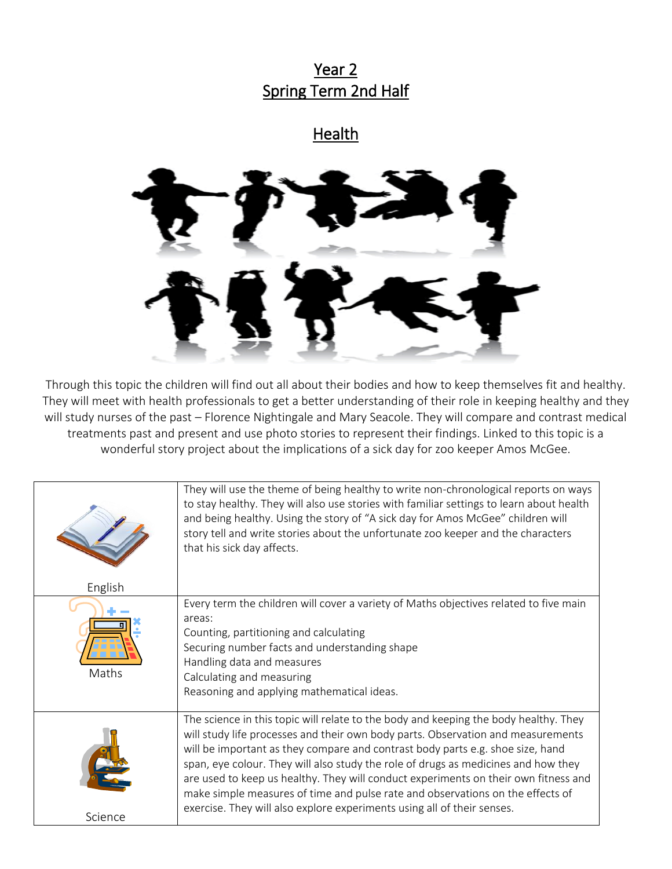## Year 2 Spring Term 2nd Half

## **Health**



Through this topic the children will find out all about their bodies and how to keep themselves fit and healthy. They will meet with health professionals to get a better understanding of their role in keeping healthy and they will study nurses of the past – Florence Nightingale and Mary Seacole. They will compare and contrast medical treatments past and present and use photo stories to represent their findings. Linked to this topic is a wonderful story project about the implications of a sick day for zoo keeper Amos McGee.

|         | They will use the theme of being healthy to write non-chronological reports on ways<br>to stay healthy. They will also use stories with familiar settings to learn about health<br>and being healthy. Using the story of "A sick day for Amos McGee" children will<br>story tell and write stories about the unfortunate zoo keeper and the characters<br>that his sick day affects.                                                                                                                                                                                                                 |
|---------|------------------------------------------------------------------------------------------------------------------------------------------------------------------------------------------------------------------------------------------------------------------------------------------------------------------------------------------------------------------------------------------------------------------------------------------------------------------------------------------------------------------------------------------------------------------------------------------------------|
| English |                                                                                                                                                                                                                                                                                                                                                                                                                                                                                                                                                                                                      |
| Maths   | Every term the children will cover a variety of Maths objectives related to five main<br>areas:<br>Counting, partitioning and calculating<br>Securing number facts and understanding shape<br>Handling data and measures<br>Calculating and measuring<br>Reasoning and applying mathematical ideas.                                                                                                                                                                                                                                                                                                  |
|         | The science in this topic will relate to the body and keeping the body healthy. They<br>will study life processes and their own body parts. Observation and measurements<br>will be important as they compare and contrast body parts e.g. shoe size, hand<br>span, eye colour. They will also study the role of drugs as medicines and how they<br>are used to keep us healthy. They will conduct experiments on their own fitness and<br>make simple measures of time and pulse rate and observations on the effects of<br>exercise. They will also explore experiments using all of their senses. |
| Science |                                                                                                                                                                                                                                                                                                                                                                                                                                                                                                                                                                                                      |